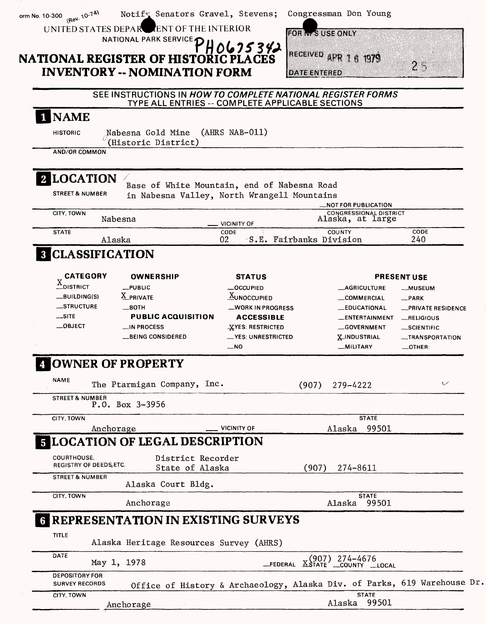|                                                                                                                                |             | <b>NATIONAL REGISTER OF HISTORIC PLACES</b><br><b>INVENTORY -- NOMINATION FORM</b><br>SEE INSTRUCTIONS IN HOW TO COMPLETE NATIONAL REGISTER FORMS |                                      | H0625342                                                                                                                                       | <b>IRECEIVED APR</b><br><b>DATE ENTERED</b> |                                  | 1979                                                                                            | $2 -$                                                                                                                                  |
|--------------------------------------------------------------------------------------------------------------------------------|-------------|---------------------------------------------------------------------------------------------------------------------------------------------------|--------------------------------------|------------------------------------------------------------------------------------------------------------------------------------------------|---------------------------------------------|----------------------------------|-------------------------------------------------------------------------------------------------|----------------------------------------------------------------------------------------------------------------------------------------|
|                                                                                                                                |             | TYPE ALL ENTRIES -- COMPLETE APPLICABLE SECTIONS                                                                                                  |                                      |                                                                                                                                                |                                             |                                  |                                                                                                 |                                                                                                                                        |
| <b>NAME</b><br><b>HISTORIC</b>                                                                                                 |             | Nabesna Gold Mine                                                                                                                                 |                                      | (AHRS NAB-011)                                                                                                                                 |                                             |                                  |                                                                                                 |                                                                                                                                        |
| <b>AND/OR COMMON</b>                                                                                                           |             | (Historic District)                                                                                                                               |                                      |                                                                                                                                                |                                             |                                  |                                                                                                 |                                                                                                                                        |
| <b>2 LOCATION</b><br><b>STREET &amp; NUMBER</b><br>CITY, TOWN                                                                  |             | Base of White Mountain, end of Nabesna Road<br>in Nabesna Valley, North Wrangell Mountains                                                        |                                      |                                                                                                                                                |                                             | <b>_NOT FOR PUBLICATION</b>      | <b>CONGRESSIONAL DISTRICT</b>                                                                   |                                                                                                                                        |
|                                                                                                                                | Nabesna     |                                                                                                                                                   |                                      | <b>VICINITY OF</b>                                                                                                                             |                                             | COUNTY                           | Alaska, at large                                                                                | CODE                                                                                                                                   |
| <b>STATE</b>                                                                                                                   | Alaska      |                                                                                                                                                   | 02                                   | CODE                                                                                                                                           | S.E. Fairbanks Division                     |                                  |                                                                                                 | 240                                                                                                                                    |
| <b>3 CLASSIFICATION</b>                                                                                                        |             |                                                                                                                                                   |                                      |                                                                                                                                                |                                             |                                  |                                                                                                 |                                                                                                                                        |
| <b>CATEGORY</b><br>$\underline{\underline{X}}$ district<br>__BUILDING(S)<br><b>__STRUCTURE</b><br>$\equiv$ SITE<br>$\_$ OBJECT |             | <b>OWNERSHIP</b><br>$L$ PUBLIC<br>X PRIVATE<br>$\equiv$ BOTH<br><b>PUBLIC ACQUISITION</b><br>IN PROCESS<br>__BEING CONSIDERED                     |                                      | <b>STATUS</b><br>OCCUPIED<br><b>XUNOCCUPIED</b><br>_WORK IN PROGRESS<br><b>ACCESSIBLE</b><br>-XYES: RESTRICTED<br>_YES: UNRESTRICTED<br>$-$ NO |                                             | <b>X_INDUSTRIAL</b><br>_MILITARY | <b>_AGRICULTURE</b><br><b>COMMERCIAL</b><br><b>LEDUCATIONAL</b><br>_ENTERTAINMENT<br>GOVERNMENT | <b>PRESENT USE</b><br>--MUSEUM<br>$-$ PARK<br>-PRIVATE RESIDENCE<br>$-$ RELIGIOUS<br>_SCIENTIFIC<br>-TRANSPORTATION<br>$\equiv$ OTHER: |
|                                                                                                                                |             | <b>OWNER OF PROPERTY</b>                                                                                                                          |                                      |                                                                                                                                                |                                             |                                  |                                                                                                 |                                                                                                                                        |
| <b>NAME</b>                                                                                                                    |             | The Ptarmigan Company, Inc.                                                                                                                       |                                      |                                                                                                                                                |                                             | $(907)$ 279-4222                 |                                                                                                 | V                                                                                                                                      |
| <b>STREET &amp; NUMBER</b>                                                                                                     |             | $P.0. Box 3-3956$                                                                                                                                 |                                      |                                                                                                                                                |                                             |                                  |                                                                                                 |                                                                                                                                        |
| CITY, TOWN                                                                                                                     |             |                                                                                                                                                   |                                      |                                                                                                                                                |                                             |                                  | <b>STATE</b>                                                                                    |                                                                                                                                        |
|                                                                                                                                | Anchorage   | <b>5 LOCATION OF LEGAL DESCRIPTION</b>                                                                                                            |                                      | <b>VICINITY OF</b>                                                                                                                             |                                             | Alaska                           | 99501                                                                                           |                                                                                                                                        |
| COURTHOUSE.<br>REGISTRY OF DEEDS, ETC.                                                                                         |             |                                                                                                                                                   | District Recorder<br>State of Alaska |                                                                                                                                                | (907)                                       | 274-8611                         |                                                                                                 |                                                                                                                                        |
| <b>STREET &amp; NUMBER</b>                                                                                                     |             | Alaska Court Bldg.                                                                                                                                |                                      |                                                                                                                                                |                                             |                                  |                                                                                                 |                                                                                                                                        |
| CITY, TOWN                                                                                                                     |             | Anchorage                                                                                                                                         |                                      |                                                                                                                                                |                                             | Alaska                           | <b>STATE</b><br>99501                                                                           |                                                                                                                                        |
|                                                                                                                                |             | <b>6 REPRESENTATION IN EXISTING SURVEYS</b>                                                                                                       |                                      |                                                                                                                                                |                                             |                                  |                                                                                                 |                                                                                                                                        |
|                                                                                                                                |             | Alaska Heritage Resources Survey (AHRS)                                                                                                           |                                      |                                                                                                                                                |                                             |                                  |                                                                                                 |                                                                                                                                        |
| <b>TITLE</b>                                                                                                                   |             |                                                                                                                                                   |                                      |                                                                                                                                                |                                             | (907) 274–4676                   |                                                                                                 |                                                                                                                                        |
| <b>DATE</b>                                                                                                                    | May 1, 1978 |                                                                                                                                                   |                                      | FEDERAL                                                                                                                                        | $X$ State                                   |                                  | COUNTY LOCAL                                                                                    |                                                                                                                                        |
| <b>DEPOSITORY FOR</b><br><b>SURVEY RECORDS</b><br>CITY, TOWN                                                                   |             |                                                                                                                                                   |                                      |                                                                                                                                                |                                             |                                  | <b>STATE</b>                                                                                    | Office of History & Archaeology, Alaska Div. of Parks, 619 Warehouse Dr.                                                               |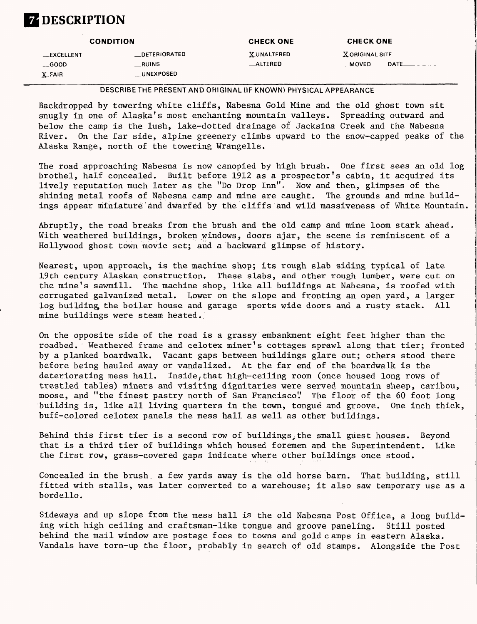## **Z** DESCRIPTION

|                  | <b>CONDITION</b> | <b>CHECK ONE</b>  | <b>CHECK ONE</b>                           |
|------------------|------------------|-------------------|--------------------------------------------|
| <b>EXCELLENT</b> | _DETERIORATED    | <b>XUNALTERED</b> | X ORIGINAL SITE                            |
| $\equiv$ GOOD    | RUNS             | <b>__ALTERED</b>  | $DATE$ <sub>________</sub> ___<br>$-MOVED$ |
| $X-FAIR$         | __UNEXPOSED      |                   |                                            |

**DESCRIBETHE PRESENT AND ORIGINAL (IF KNOWN) PHYSICAL APPEARANCE**

Backdropped by towering white cliffs, Nabesna Gold Mine and the old ghost town sit snugly in one of Alaska's most enchanting mountain valleys. Spreading outward and below the camp is the lush, lake-dotted drainage of Jacksina Creek and the Nabesna River. On the far side, alpine greenery climbs upward to the snow-capped peaks of the Alaska Range, north of the towering Wrangells.

The road approaching Nabesna is now canopied by high brush. One first sees an old log brothel, half concealed. Built before 1912 as a prospector's cabin, it acquired its lively reputation much later as the "Do Drop Inn". Now and then, glimpses of the shining metal roofs of Nabesna camp and mine are caught. The grounds and mine buildings appear miniature and dwarfed by the cliffs and wild massiveness of White Mountain,

Abruptly, the road breaks from the brush and the old camp and mine loom stark ahead. With weathered buildings, broken windows, doors ajar, the scene is reminiscent of a Hollywood ghost town movie set; and a backward glimpse of history.

Nearest, upon approach, is the machine shop; its rough slab siding typical of late 19th century Alaskan construction. These slabs, and other rough lumber, were cut on the mine's sawmill. The machine shop, like all buildings at Nabesna, is roofed with corrugated galvanized metal. Lower on the slope and fronting an open yard, a larger log building, the boiler house and garage sports wide doors and a rusty stack. All mine buildings were steam heated..

On the opposite side of the road is a grassy embankment eight feet higher than the roadbed. Weathered frame and celotex miner's cottages sprawl along that tier; fronted by a planked boardwalk. Vacant gaps between buildings glare out; others stood there before being hauled away or vandalized. At the far end of the boardwalk is the deteriorating mess hall. Inside,that high-ceiling room (once housed long rows of trestled tables) miners and visiting dignitaries were served mountain sheep, caribou, moose, and "the finest pastry north of San Francisco". The floor of the 60 foot long building is, like all living quarters in the town, tongue and groove. One inch thick, buff-colored celotex panels the mess hall as well as other buildings.

Behind this first tier is a second row of buildings, the small guest houses. Beyond that is a third tier of buildings which housed foremen and the Superintendent. Like the first row, grass-covered gaps indicate where other buildings once stood.

Concealed in the brush, a few yards away is the old horse barn. That building, still fitted with stalls, was later converted to a warehouse; it also saw temporary use as a bordello.

Sideways and up slope from the mess hall is the old Nabesna Post Office, a long building with high ceiling and craftsman-like tongue and groove paneling. Still posted behind the mail window are postage fees to towns and gold camps in eastern Alaska. Vandals have torn-up the floor, probably in search of old stamps. Alongside the Post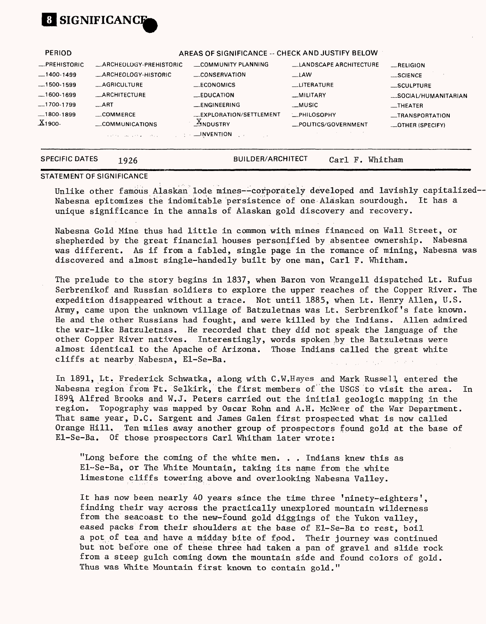

| PERIOD                |                                                                                                                             | AREAS OF SIGNIFICANCE -- CHECK AND JUSTIFY BELOW |                               |                      |
|-----------------------|-----------------------------------------------------------------------------------------------------------------------------|--------------------------------------------------|-------------------------------|----------------------|
| -PREHISTORIC          | _ARCHEOLOGY-PREHISTORIC                                                                                                     | COMMUNITY PLANNING                               | <b>LANDSCAPE ARCHITECTURE</b> | RELIGION             |
| $-1400-1499$          | <b>ARCHEOLOGY-HISTORIC</b>                                                                                                  | CONSERVATION                                     | __LAW                         | $$ SCIENCE           |
| $-1500 - 1599$        | _AGRICULTURE                                                                                                                | __ECONOMICS                                      | <b>LITERATURE</b>             | _SCULPTURE           |
| $-1600-1699$          | <b>ARCHITECTURE</b>                                                                                                         | $EDUCA$ TION                                     | _MILITARY                     | _SOCIAL/HUMANITARIAN |
| $-1700-1799$          | $\overline{\phantom{0}}$ ART                                                                                                | __ENGINEERING                                    | __MUSIC                       | $-$ THEATER          |
| $-1800-1899$          | $\equiv$ COMMERCE                                                                                                           | <b>LEXPLORATION/SETTLEMENT</b>                   | <b>EPHILOSOPHY</b>            | -TRANSPORTATION      |
| $X_1$ 900-            | COMMUNICATIONS                                                                                                              | $X_{NDUSTRY}$                                    | POLITICS/GOVERNMENT           | _OTHER (SPECIFY)     |
|                       | <b><i>Contractor Contractor Contractor Contractor Contractor Contractor Contractor Contractor Contractor Contractor</i></b> |                                                  |                               |                      |
| <b>SPECIFIC DATES</b> | 1926                                                                                                                        | BUILDER/ARCHITECT                                | Car1 F.                       | Whitham              |

#### **STATEMENT OF SIGNIFICANCE**

Unlike other famous Alaskan lode mines--corporately developed and lavishly capitalized--Nabesna epitomizes the indomitable persistence of one Alaskan sourdough. It has a unique significance in the annals of Alaskan gold discovery and recovery.

Nabesna Gold Mine thus had little in common with mines financed on Wall Street, or shepherded by the great financial houses personified by absentee ownership. Nabesna was different. As if from a fabled, single page in the romance of mining, Nabesna was discovered and almost single-handedly built by one man, Carl F. Whitham.

The prelude to the story begins in 1837, when Baron von Wrangell dispatched Lt. Rufus Serbrenikof and Russian soldiers to explore the upper reaches of the Copper River. The expedition disappeared without a trace. Not until 1885, when Lt. Henry Alien, U.S. Army, came upon the unknown village of Batzuletnas was Lt. Serbrenikof's fate known. He and the other Russians had fought, and were killed by the Indians. Alien admired the war-like Batzuletnas. He recorded that they did not speak the language of the other Copper River natives. Interestingly, words spoken by the Batzuletnas were almost identical to the Apache of Arizona. Those Indians called the great white cliffs at nearby Nabesna, El-Se-Ba.

In 1891, Lt. Frederick Schwatka, along with C.W.Hayes and Mark Russell, entered, the Nabesna region from Ft. Selkirk, the first members of the USGS to visit the area. In189% Alfred Brooks and W.J. Peters carried out the initial geologic mapping in the region. Topography was mapped by Oscar Rohn and A.H. McNeer of the War Department. That same year, B.C. Sargent and James Galen first prospected what is now called Orange Hill. Ten miles away another group of prospectors found gold at the base of El-Se-Ba. Of those prospectors Carl Whitham later wrote:

"Long before the coming of the white men. . . Indians knew this as El-Se-Ba, or The White Mountain, taking its name from the .white limestone cliffs towering above and overlooking Nabesna Valley.

It has now been nearly 40 years since the time three 'ninety-eighters', finding their way across the practically unexplored mountain wilderness from the seacoast to the new-found gold diggings of the Yukon valley, eased packs from their shoulders at the base of El-Se-Ba to rest, boil a pot of tea and have a midday bite of fpod. Their journey was continued but not before one of these three had taken a pan of gravel and slide rock from a steep gulch coming down the mountain side and found colors of gold. Thus was White Mountain first known to contain gold."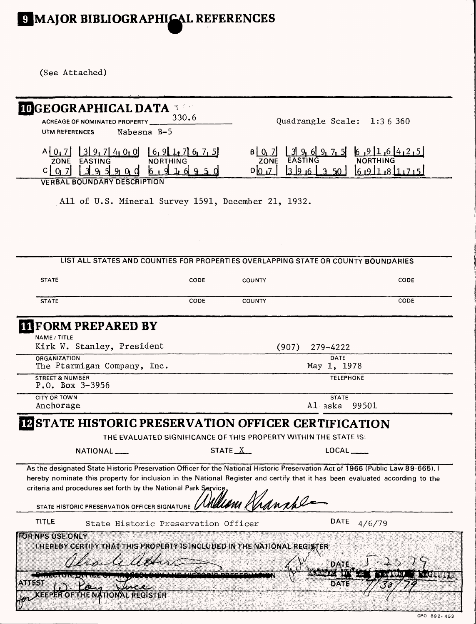# **MAJOR BIBLIOGRAPHICAL REFERENCES**

(See Attached)

| <b>IDGEOGRAPHICAL DATA</b><br>ACREAGE OF NOMINATED PROPERTY                                                                                                                                                                                                                                                                       | 3.50<br>330.6                                  |                                                                  | Quadrangle Scale: 1:36 360                                                         |
|-----------------------------------------------------------------------------------------------------------------------------------------------------------------------------------------------------------------------------------------------------------------------------------------------------------------------------------|------------------------------------------------|------------------------------------------------------------------|------------------------------------------------------------------------------------|
| Nabesna B-5<br>UTM REFERENCES                                                                                                                                                                                                                                                                                                     |                                                |                                                                  |                                                                                    |
| 1319,714000<br>$A$ $0$ <sub>1</sub> 7]<br><b>EASTING</b><br>ZONE<br>-31<br>9.5191010<br>$C$   0 <sub>1</sub> 7                                                                                                                                                                                                                    | [6, 9, 1, 7, 6, 7, 5]<br>NORTHING<br>6 9 1 6 9 | $B \mid 0, 7$<br><b>ZONE</b><br>D 0,7<br>396                     | $6, 9$ [1,6] 4,2,5]<br>$6.911.8117.75$<br>350                                      |
| <b>VERBAL BOUNDARY DESCRIPTION</b>                                                                                                                                                                                                                                                                                                |                                                |                                                                  |                                                                                    |
| All of U.S. Mineral Survey 1591, December 21, 1932.                                                                                                                                                                                                                                                                               |                                                |                                                                  |                                                                                    |
|                                                                                                                                                                                                                                                                                                                                   |                                                |                                                                  |                                                                                    |
|                                                                                                                                                                                                                                                                                                                                   |                                                |                                                                  |                                                                                    |
|                                                                                                                                                                                                                                                                                                                                   |                                                |                                                                  | LIST ALL STATES AND COUNTIES FOR PROPERTIES OVERLAPPING STATE OR COUNTY BOUNDARIES |
| <b>STATE</b>                                                                                                                                                                                                                                                                                                                      | CODE                                           | COUNTY                                                           | CODE                                                                               |
| <b>STATE</b>                                                                                                                                                                                                                                                                                                                      | CODE                                           | <b>COUNTY</b>                                                    | CODE                                                                               |
| <b>III</b> FORM PREPARED BY                                                                                                                                                                                                                                                                                                       |                                                |                                                                  |                                                                                    |
| NAME / TITLE<br>Kirk W. Stanley, President                                                                                                                                                                                                                                                                                        |                                                | (907)                                                            | 279-4222                                                                           |
| ORGANIZATION<br>The Ptarmigan Company, Inc.                                                                                                                                                                                                                                                                                       |                                                |                                                                  | <b>DATE</b><br>May 1, 1978                                                         |
| <b>STREET &amp; NUMBER</b><br>P.O. Box 3-3956                                                                                                                                                                                                                                                                                     |                                                |                                                                  | <b>TELEPHONE</b>                                                                   |
| <b>CITY OR TOWN</b><br>Anchorage                                                                                                                                                                                                                                                                                                  |                                                |                                                                  | <b>STATE</b><br>Al aska<br>99501                                                   |
| <b>STATE HISTORIC PRESERVATION OFFICER CERTIFICATION</b><br> 12                                                                                                                                                                                                                                                                   |                                                |                                                                  |                                                                                    |
|                                                                                                                                                                                                                                                                                                                                   |                                                | THE EVALUATED SIGNIFICANCE OF THIS PROPERTY WITHIN THE STATE IS: |                                                                                    |
| NATIONAL                                                                                                                                                                                                                                                                                                                          | STATE X                                        |                                                                  | LOCAL                                                                              |
| As the designated State Historic Preservation Officer for the National Historic Preservation Act of 1966 (Public Law 89-665), I<br>hereby nominate this property for inclusion in the National Register and certify that it has been evaluated according to the<br>criteria and procedures set forth by the National Park Service | NUUIN K                                        | ranche                                                           |                                                                                    |
| STATE HISTORIC PRESERVATION OFFICER SIGNATURE                                                                                                                                                                                                                                                                                     |                                                |                                                                  |                                                                                    |
| TITLE<br>FOR NPS USE ONLY                                                                                                                                                                                                                                                                                                         | State Historic Preservation Officer            |                                                                  | <b>DATE</b><br>4/6/79                                                              |
| <b>I HEREBY CERTIFY THAT THIS PROPERTY IS INCLUDED IN THE NATIONAL REGISTER</b>                                                                                                                                                                                                                                                   |                                                |                                                                  |                                                                                    |
|                                                                                                                                                                                                                                                                                                                                   | la n J                                         |                                                                  | DATE                                                                               |
| 8388338                                                                                                                                                                                                                                                                                                                           |                                                | <b>Contractor Contract</b>                                       | ់៖ <b>′აγβ®®</b> ≸γ∛<br><b>DATE</b>                                                |
| 838283<br>88181.YY                                                                                                                                                                                                                                                                                                                | <b>REGISTER</b>                                |                                                                  |                                                                                    |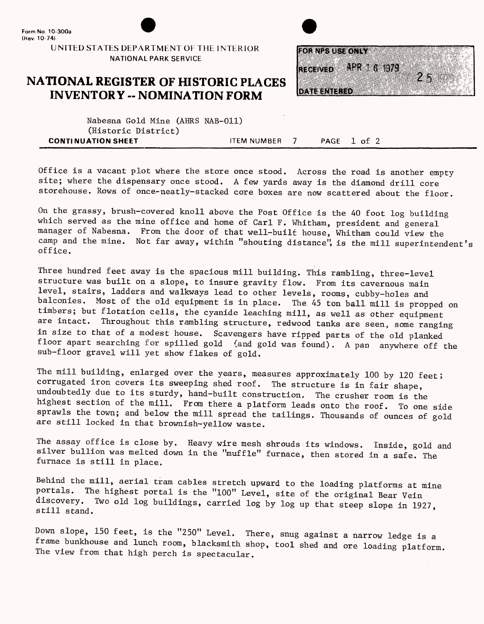

UNITED STATES DEPARTMENT OF THE INTERIOR NATIONAL PARK SERVICE

### **NATIONAL REGISTER OF HISTORIC PLACES INVENTORY -- NOMINATION FORM**



Nabesna Gold Mine (AHRS NAB-011) (Historic District) **CONTINUATION SHEET** ITEM NUMBER 7 PAGE 1 of 2

Office is a vacant plot where the store once stood. Across the road is another empty site; where the dispensary once stood. A few yards away is the diamond drill core storehouse. Rows of once-neatly-stacked core boxes are now scattered about the floor.

On the grassy, brush-covered knoll above the Post Office is the 40 foot log building which served as the mine office and home of Carl F. Whitham, president and general manager of Nabesna. From the door of that well-built house, Whitham could view the camp and the mine. Not far away, within "shouting distance", is the mill superintendent's office.

Three hundred feet away is the spacious mill building. This rambling, three-level structure was built on a slope, to insure gravity flow. From its cavernous main level, stairs, ladders and walkways lead to other levels, rooms, cubby-holes and balconies. Most of the old equipment is in place. The 45 ton ball mill is propped on timbers; but flotation cells, the cyanide leaching mill, as well as other equipment are intact. Throughout this rambling structure, redwood tanks are seen, some ranging in size to that of a modest house. Scavengers have ripped parts of the old planked floor apart searching for spilled gold (and gold was found). A pan anywhere off the sub-floor gravel will yet show flakes of gold.

The mill building, enlarged over the years, measures approximately 100 by 120 feet; corrugated iron covers its sweeping shed roof. The structure is in fair shape, undoubtedly due to its sturdy, hand-built construction. The crusher room is the highest section of the mill. From there a platform leads onto the roof. To one side sprawls the town; and below the mill spread the tailings. Thousands of ounces of gold are still locked in that brownish-yellow waste.

The assay office is close by. Heavy wire mesh shrouds its windows. Inside, gold and silver bullion was melted down in the "muffle" furnace, then stored in a safe. The furnace is still in place.

Behind the mill, aerial tram cables stretch upward to the loading platforms at mine portals. The highest portal is the "100" Level, site of the original Bear Vein discovery. Two old log buildings, carried log by log up that steep slope in 1927, still stand.

Down slope, 150 feet, is the "250" Level. There, snug against a narrow ledge is a frame bunkhouse and lunch room, blacksmith shop, tool shed and ore loading platform. The view from that high perch is spectacular.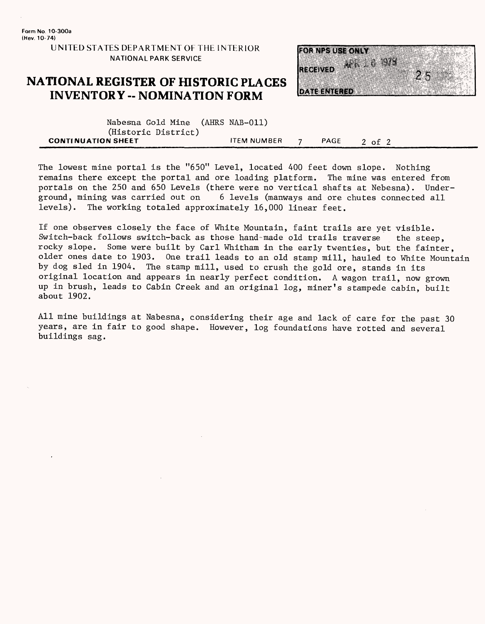**UNITED STATES DEPARTMENT OE THE INTERIOR NATIONAL PARK SERVICE**

#### **NATIONAL REGISTER OF HISTORIC PLACES INVENTORY - NOMINATION FORM**



| Nabesna Gold Mine (AHRS NAB-011) |                    |      |        |
|----------------------------------|--------------------|------|--------|
| (Historic District)              |                    |      |        |
| <b>CONTINUATION SHEET</b>        | <b>ITEM NUMBER</b> | PAGE | 2 of 2 |

The lowest mine portal is the "650" Level, located 400 feet down slope. Nothing remains there except the portal and ore loading platform. The mine was entered from portals on the 250 and 650 Levels (there were no vertical shafts at Nebesna). Under-<br>ground, mining was carried out on 6 levels (manways and ore chutes connected all 6 levels (manways and ore chutes connected all levels). The working totaled approximately 16,000 linear feet.

If one observes closely the face of White Mountain, faint trails are yet visible. Switch-back follows switch-back as those hand-made old trails traverse the steep, rocky slope. Some were built by Carl Whitham in the early twenties, but the fainter, older ones date to 1903. One trail leads to an old stamp mill, hauled to White Mountain by dog sled in 1904. The stamp mill, used to crush the gold ore, stands in its original location and appears in nearly perfect condition. A wagon trail, now grown up in brush, leads to Cabin Creek and an original log, miner's stampede cabin, built about 1902.

All mine buildings at Nabesna, considering their age and lack of care for the past 30 years, are in fair to good shape. However, log foundations have rotted and several buildings sag.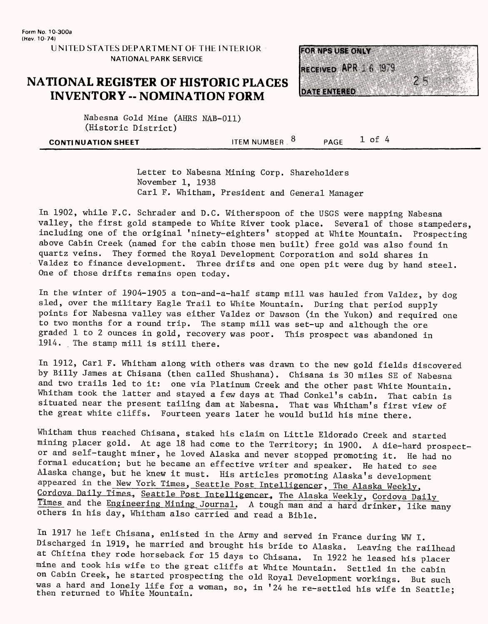**UNITED STATES DEPARTMENT OF THE INTERIOR NATIONAL PARK SERVICE**

#### **NATIONAL REGISTER OF HISTORIC PLACES INVENTORY -- NOMINATION FORM**



Nabesna Gold Mine (AHRS NAB-011) (Historic District)

**CONTINUATION SHEET** TEM NUMBER . 8 \_\_\_\_PAGE 1 of 4

Letter to Nabesna Mining Corp. Shareholders November 1, 1938 Carl F. Whitham, President and General Manager

In 1902, while F.C. Schrader and B.C. Witherspoon of the USGS were mapping Nabesna valley, the first gold stampede to White River took place. Several of those stampeders, including one of the original 'ninety-eighters' stopped at White Mountain. Prospecting above Cabin Creek (named for the cabin those men built) free gold was also found in quartz veins. They formed the Royal Development Corporation and sold shares in Valdez to finance development. Three drifts and one open pit were dug by hand steel. One of those drifts remains open today.

In the winter of 1904-1905 a ton-and-a-half stamp mill was hauled from Valdez, by dog sled, over the military Eagle Trail to White Mountain. During that period supply points for Nabesna valley was either Valdez or Dawson (in the Yukon) and required one to two months for a round trip. The stamp mill was set-up and although the ore graded 1 to 2 ounces in gold, recovery was poor. This prospect was abandoned in 1914. The stamp mill is still there.

In 1912, Carl F. Whitham along with others was drawn to the new gold fields discovered by Billy James at Chisana (then called Shushana). Chisana is 30 miles SE of Nabesna and two trails led to it: one via Platinum Creek and the other past White Mountain. Whitham took the latter and stayed a few days at Thad Conkel's cabin. That cabin is situated near the present tailing dam at Nabesna. That was Whitham's first view of the great white cliffs. Fourteen years later he would build his mine there.

Whitham thus reached Chisana, staked his claim on Little Eldorado Creek and started mining placer gold. At age 18 had come to the Territory; in 1900. A die-hard prospector and self-taught miner, he loved Alaska and never stopped promoting it. He had no formal education; but he became an effective writer and speaker. He hated to see Alaska change, but he knew it must. His articles promoting Alaska's development appeared in the New York Times, Seattle Post Intelligencer, The Alaska Weekly, Cordova Daily Times, Seattle Post Intelligencer. The Alaska Weekly, Cordova Daily Times and the Engineering Mining, Journal. A tough man and a hard drinker, like many others in his day, Whitham also carried and read a Bible.

In 1917 he left Chisana, enlisted in the Army and served in France during WW I. Discharged in 1919, he married and brought his bride to Alaska. Leaving the railhead at Chitina they rode horseback for 15 days to Chisana. In 1922 he leased his placer mine and took his wife to the great cliffs at White Mountain. Settled in the cabin on Cabin Creek, he started prospecting the old Royal Development workings. But such was a hard and lonely life for a woman, so, in '24 he re-settled his wife in Seattle; then returned to White Mountain.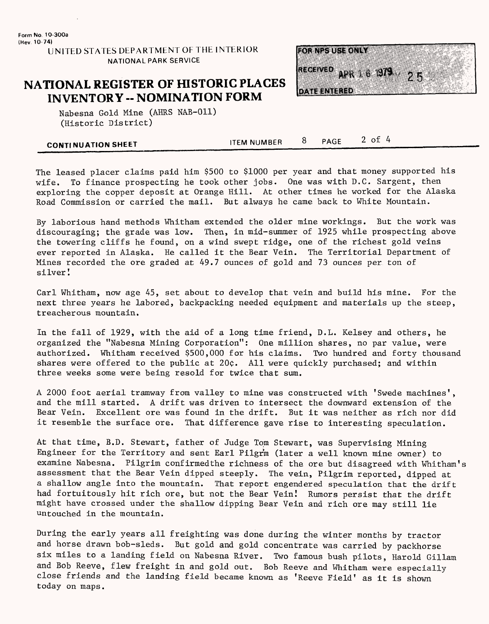### **NATIONAL REGISTER OF HISTORIC PLACES INVENTORY -- NOMINATION FORM**



Nabesna Gold Mine (AHRS NAB-011) (Historic District)

| <b>CONTINUATION SHEET</b> | <b>ITEM NUMBER</b> | PAGE | оI |
|---------------------------|--------------------|------|----|
|                           |                    |      |    |

The leased placer claims paid him \$500 to \$1000 per year and that money supported his wife. To finance prospecting he took other jobs. One was with D.C. Sargent, then exploring the copper deposit at Orange Hill. At other times he worked for the Alaska Road Commission or carried the mail. But always he came back to White Mountain.

By laborious hand methods Whitham extended the older mine workings. But the work was discouraging; the grade was low. Then, in mid-summer of 1925 while prospecting above the towering cliffs he found, on a wind swept ridge, one of the richest gold veins ever reported in Alaska. He called it the Bear Vein. The Territorial Department of Mines recorded the ore graded at 49.7 ounces of gold and 73 ounces per ton of silver!

Carl Whitham, now age 45, set about to develop that vein and build his mine. For the next three years he labored, backpacking needed equipment and materials up the steep, treacherous mountain.

In the fall of 1929, with the aid of a long time friend, D.L. Kelsey and others, he organized the "Nabesna Mining Corporation": One million shares, no par value, were authorized. Whitham received \$500,000 for his claims. Two hundred and forty thousand shares were offered to the public at  $20¢$ . All were quickly purchased; and within three weeks some were being resold for twice that sum.

A 2000 foot aerial tramway from valley to mine was constructed with 'Swede machines', and the mill started. A drift was driven to intersect the downward extension of the Bear Vein. Excellent ore was found in the drift. But it was neither as rich nor did it resemble the surface ore. That difference gave rise to interesting speculation.

At that time, B.D. Stewart, father of Judge Tom Stewart, was Supervising Mining Engineer for the Territory and sent Earl Pilgrm (later a well known mine owner) to examine Nabesna. Pilgrim confirmedthe richness of the ore but disagreed with Whitham's assessment that the Bear Vein dipped steeply. The vein, Pilgrim reported, dipped at a shallow angle into the mountain. That report engendered speculation that the drift had fortuitously hit rich ore, but not the Bear Vein! Rumors persist that the drift might have crossed under the shallow dipping Bear Vein and rich ore may still lie untouched in the mountain.

During the early years all freighting was done during the winter months by tractor and horse drawn bob-sleds. But gold and gold concentrate was carried by packhorse six miles to a landing field on Nabesna River. Two famous bush pilots, Harold Gillam and Bob Reeve, flew freight in and gold out. Bob Reeve and Whitham were especially close friends and the landing field became known as 'Reeve Field' as it is shown today on maps.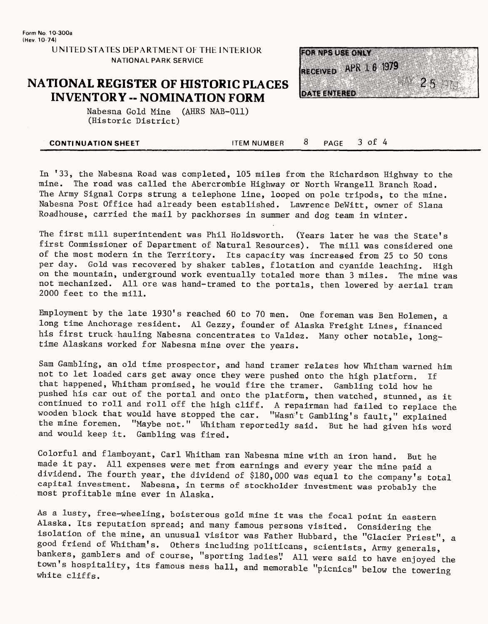#### **NATIONAL REGISTER OF HISTORIC PLACES INVENTORY -- NOMINATION FORM**



Nabesna Gold Mine (AHRS NAB-011) (Historic District)

| <b>CONTINUATION SHEET</b> | <b>ITEM NUMBER</b> | PAGE | of |
|---------------------------|--------------------|------|----|
|                           |                    |      |    |

In '33, the Nabesna Road was completed, 105 miles from the Richardson Highway to the mine. The road was called the Abercrombie Highway or North Wrangell Branch Road. The Army Signal Corps strung a telephone line, looped on pole tripods, to the mine. Nabesna Post Office had already been established. Lawrence DeWitt, owner of Slana Roadhouse, carried the mail by packhorses in summer and dog team in winter.

The first mill superintendent was Phil Holdsworth. (Years later he was the State's first Commissioner of Department of Natural Resources). The mill was considered one of the most modern in the Territory. Its capacity was increased from 25 to 50 tons per day. Gold was recovered by shaker tables, flotation and cyanide leaching. High on the mountain, underground work eventually totaled more than 3 miles. The mine was not mechanized. All ore was hand-tramed to the portals, then lowered by aerial tram 2000 feet to the mill.

Employment by the late 1930's reached 60 to 70 men. One foreman was Ben Holemen, a long time Anchorage resident. Al Gezzy, founder of Alaska Freight Lines, financed his first truck hauling Nabesna concentrates to Valdez. Many other notable, longtime Alaskans worked for Nabesna mine over the years.

Sam Gambling, an old time prospector, and hand tramer relates how Whitham warned him not to let loaded cars get away once they were pushed onto the high platform. If that happened, Whitham promised, he would fire the tramer. Gambling told how he pushed his car out of the portal and onto the platform, then watched, stunned, as it continued to roll and roll off the high cliff. A repairman had failed to replace the wooden block that would have stopped the car. "Wasn't Gambling's fault," explained the mine foremen. "Maybe not." Whitham reportedly said. But he had given his word and would keep it. Gambling was fired.

Colorful and flamboyant, Carl Whitham ran Nabesna mine with an iron hand. But he made it pay. All expenses were met from earnings and every year the mine paid a dividend. The fourth year, the dividend of \$180,000 was equal to the company's total capital investment. Nabesna, in terms of stockholder investment was probably the most profitable mine ever in Alaska.

As a lusty, free-wheeling, boisterous gold mine it was the focal point in eastern Alaska. Its reputation spread; and many famous persons visited. Considering the isolation of the mine, an unusual visitor was Father Hubbard, the "Glacier Priest", a good friend of Whitham's. Others including politicans, scientists, Army generals, bankers, gamblers and of course, "sporting ladies". All were said to have enjoyed the town's hospitality, its famous mess hall, and memorable "picnics" below the towering white cliffs.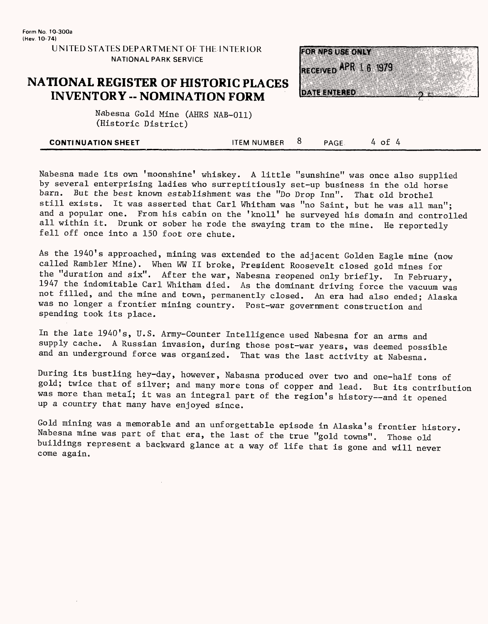**UNITED STATES DEPARTMENT OE THE INTERIOR NATIONAL PARK SERVICE**

#### **NATIONAL REGISTER OF HISTORIC PLACES INVENTORY -- NOMINATION FORM**



Nabesna Gold Mine (AHRS NAB-011) (Historic District)

| <b>CONTINUATION SHEET</b> | ITEM NUMBER | $\mathsf{PAGL}$ | $\sim$ |
|---------------------------|-------------|-----------------|--------|
|                           |             |                 |        |

Nabesna made its own 'moonshine' whiskey. A little "sunshine" was once also supplied by several enterprising ladies who surreptitiously set-up business in the old horse barn. But the best known establishment was the "Do Drop Inn". That old brothel still exists. It was asserted that Carl Whitham was "no Saint, but he was all man"; and a popular one. From his cabin on the 'knoll' he surveyed his domain and controlled all within it. Drunk or sober he rode the swaying tram to the mine. He reportedly fell off once into a 150 foot ore chute.

As the 1940's approached, mining was extended to the adjacent Golden Eagle mine (now called Rambler Mine). When WW II broke, President Roosevelt closed gold mines for the "duration and six". After the war, Nabesna reopened only briefly. In February, 1947 the indomitable Carl Whitham died. As the dominant driving force the vacuum was not filled, and the mine and town, permanently closed. An era had also ended; Alaska was no longer a frontier mining country. Post-war government construction and spending took its place.

In the late 1940's, U.S. Army-Counter Intelligence used Nabesna for an arms and supply cache. A Russian invasion, during those post-war years, was deemed possible and an underground force was organized. That was the last activity at Nabesna.

During its bustling hey-day, however, Nabasna produced over two and one-half tons of gold; twice that of silver; and many more tons of copper and lead. But its contribution was more than metal; it was an integral part of the region's history--and it opened up a country that many have enjoyed since.

Gold mining was a memorable and an unforgettable episode in Alaska's frontier history Nabesna mine was part of that era, the last of the true "gold towns". Those old buildings represent a backward glance at a way of life that is gone and will never come again.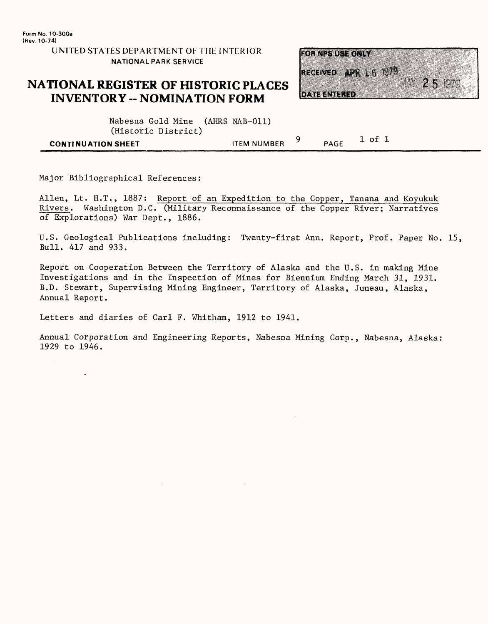#### **NATIONAL REGISTER OF HISTORIC PLACES INVENTORY -- NOMINATION FORM**



| Nabesna Gold Mine (AHRS NAB-011) |                    |      |        |  |
|----------------------------------|--------------------|------|--------|--|
| (Historic District)              |                    |      |        |  |
| CONTINUATION SHEET               | <b>ITEM NUMBER</b> | PAGE | l of 1 |  |

Major Bibliographical References:

 $\ddot{\phantom{a}}$ 

Allen, Lt. H.T., 1887: Report of an Expedition to the Copper, Tanana and Koyukuk Rivers. Washington B.C. (Military Reconnaissance of the Copper River; Narratives of Explorations) War Dept., 1886.

U.S. Geological Publications including: Twenty-first Ann. Report, Prof. Paper No. 15, Bull. 417 and 933.

Report on Cooperation Between the Territory of Alaska and the U.S. in making Mine Investigations and in the Inspection of Mines for Biennium Ending March 31, 1931. B.D. Stewart, Supervising Mining Engineer, Territory of Alaska, Juneau, Alaska, Annual Report.

Letters and diaries of Carl F. Whitham, 1912 to 1941.

Annual Corporation and Engineering Reports, Nabesna Mining Corp., Nabesna, Alaska: 1929 to 1946.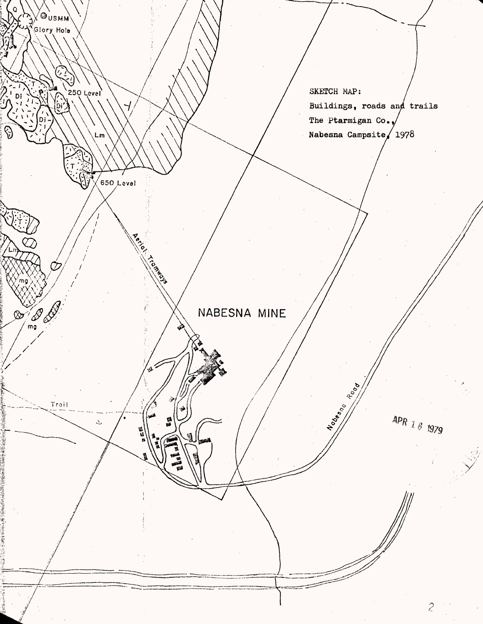